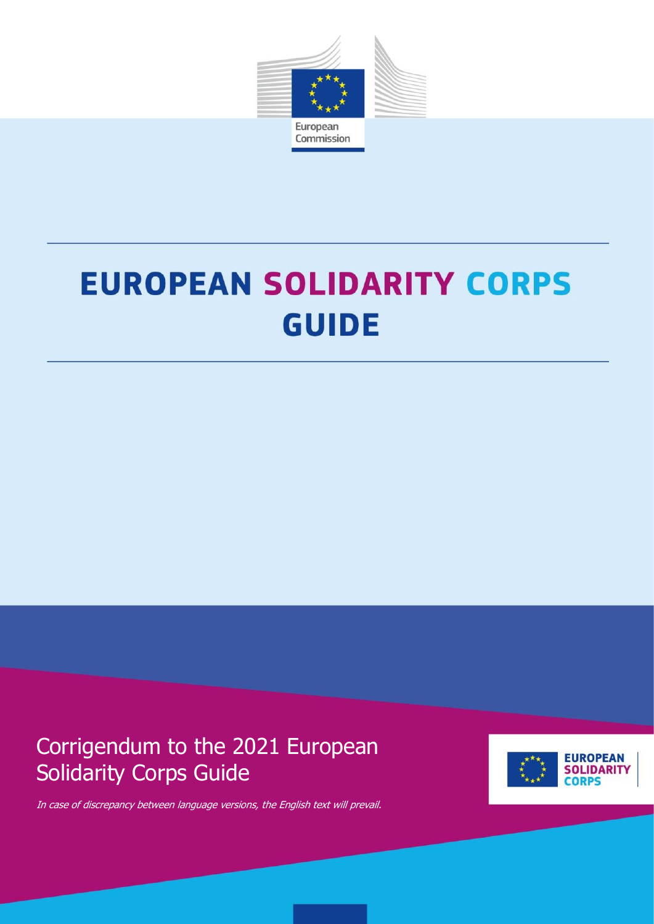

# **EUROPEAN SOLIDARITY CORPS GUIDE**

1

Corrigendum to the 2021 European Solidarity Corps Guide



In case of discrepancy between language versions, the English text will prevail.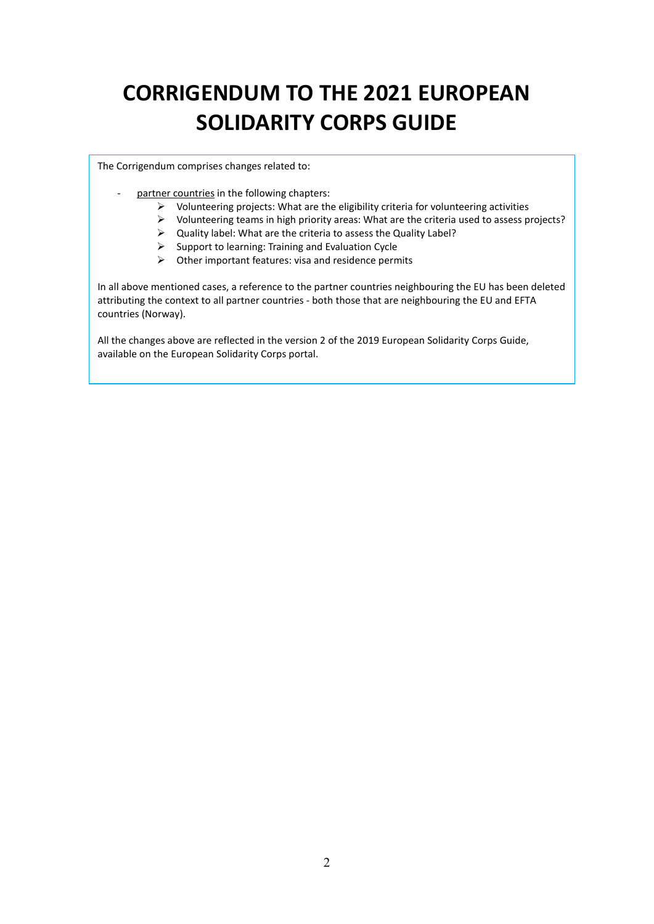## **CORRIGENDUM TO THE 2021 EUROPEAN SOLIDARITY CORPS GUIDE**

The Corrigendum comprises changes related to:

- partner countries in the following chapters:
	- $\triangleright$  Volunteering projects: What are the eligibility criteria for volunteering activities
	- $\triangleright$  Volunteering teams in high priority areas: What are the criteria used to assess projects?
	- $\triangleright$  Quality label: What are the criteria to assess the Quality Label?
	- $\triangleright$  Support to learning: Training and Evaluation Cycle
	- $\triangleright$  Other important features: visa and residence permits

In all above mentioned cases, a reference to the partner countries neighbouring the EU has been deleted attributing the context to all partner countries - both those that are neighbouring the EU and EFTA countries (Norway).

All the changes above are reflected in the version 2 of the 2019 European Solidarity Corps Guide, available on the European Solidarity Corps portal.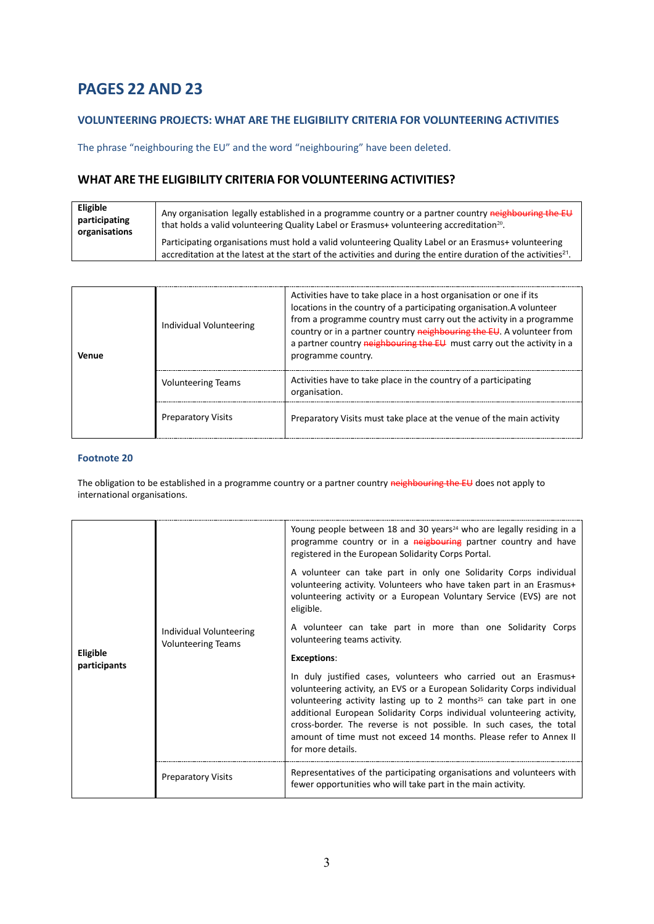## **PAGES 22 AND 23**

## **VOLUNTEERING PROJECTS: WHAT ARE THE ELIGIBILITY CRITERIA FOR VOLUNTEERING ACTIVITIES**

The phrase "neighbouring the EU" and the word "neighbouring" have been deleted.

## **WHAT ARE THE ELIGIBILITY CRITERIA FOR VOLUNTEERING ACTIVITIES?**

| Eligible<br>participating<br>organisations | Any organisation legally established in a programme country or a partner country neighbouring the EU<br>that holds a valid volunteering Quality Label or Erasmus+ volunteering accreditation <sup>20</sup> .                        |
|--------------------------------------------|-------------------------------------------------------------------------------------------------------------------------------------------------------------------------------------------------------------------------------------|
|                                            | Participating organisations must hold a valid volunteering Quality Label or an Erasmus+ volunteering<br>accreditation at the latest at the start of the activities and during the entire duration of the activities <sup>21</sup> . |

| Venue | Individual Volunteering   | Activities have to take place in a host organisation or one if its<br>locations in the country of a participating organisation.A volunteer<br>from a programme country must carry out the activity in a programme<br>country or in a partner country neighbouring the EU. A volunteer from<br>a partner country neighbouring the EU must carry out the activity in a<br>programme country. |
|-------|---------------------------|--------------------------------------------------------------------------------------------------------------------------------------------------------------------------------------------------------------------------------------------------------------------------------------------------------------------------------------------------------------------------------------------|
|       | <b>Volunteering Teams</b> | Activities have to take place in the country of a participating<br>organisation.                                                                                                                                                                                                                                                                                                           |
|       | <b>Preparatory Visits</b> | Preparatory Visits must take place at the venue of the main activity                                                                                                                                                                                                                                                                                                                       |

#### **Footnote 20**

The obligation to be established in a programme country or a partner country neighbouring the EU does not apply to international organisations.

| <b>Eligible</b><br>participants | Individual Volunteering<br><b>Volunteering Teams</b> | Young people between 18 and 30 years <sup>24</sup> who are legally residing in a<br>programme country or in a neigbouring partner country and have<br>registered in the European Solidarity Corps Portal.                                                                                                                                                                                                                                                                 |
|---------------------------------|------------------------------------------------------|---------------------------------------------------------------------------------------------------------------------------------------------------------------------------------------------------------------------------------------------------------------------------------------------------------------------------------------------------------------------------------------------------------------------------------------------------------------------------|
|                                 |                                                      | A volunteer can take part in only one Solidarity Corps individual<br>volunteering activity. Volunteers who have taken part in an Erasmus+<br>volunteering activity or a European Voluntary Service (EVS) are not<br>eligible.                                                                                                                                                                                                                                             |
|                                 |                                                      | A volunteer can take part in more than one Solidarity Corps<br>volunteering teams activity.                                                                                                                                                                                                                                                                                                                                                                               |
|                                 |                                                      | <b>Exceptions:</b>                                                                                                                                                                                                                                                                                                                                                                                                                                                        |
|                                 |                                                      | In duly justified cases, volunteers who carried out an Erasmus+<br>volunteering activity, an EVS or a European Solidarity Corps individual<br>volunteering activity lasting up to 2 months <sup>25</sup> can take part in one<br>additional European Solidarity Corps individual volunteering activity,<br>cross-border. The reverse is not possible. In such cases, the total<br>amount of time must not exceed 14 months. Please refer to Annex II<br>for more details. |
|                                 | <b>Preparatory Visits</b>                            | Representatives of the participating organisations and volunteers with<br>fewer opportunities who will take part in the main activity.                                                                                                                                                                                                                                                                                                                                    |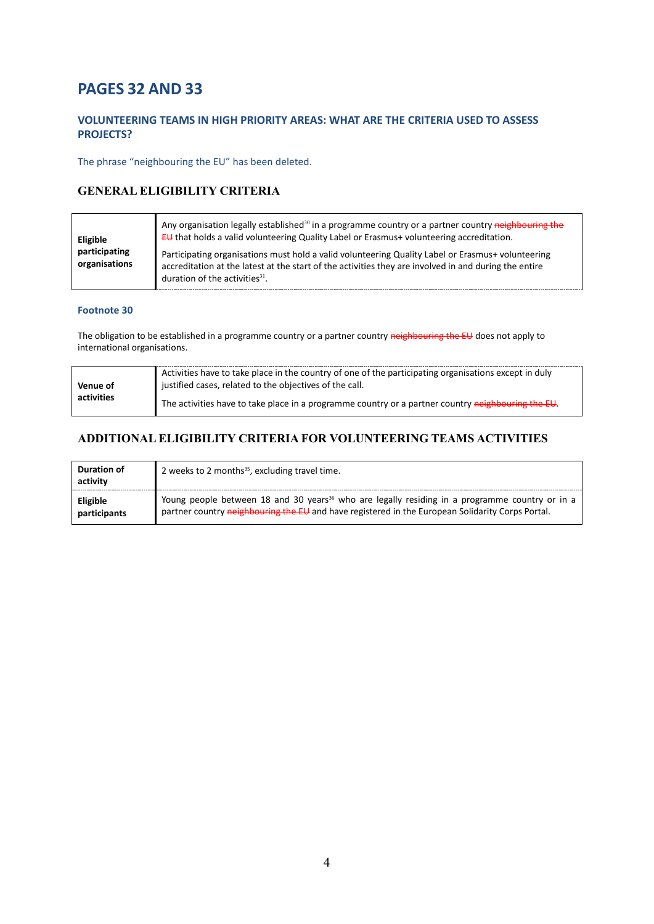## **PAGES 32 AND 33**

## **VOLUNTEERING TEAMS IN HIGH PRIORITY AREAS: WHAT ARE THE CRITERIA USED TO ASSESS PROJECTS?**

The phrase "neighbouring the EU" has been deleted.

## **GENERAL ELIGIBILITY CRITERIA**

| Eligible<br>participating<br>organisations | Any organisation legally established <sup>30</sup> in a programme country or a partner country neighbouring the<br>EU that holds a valid volunteering Quality Label or Erasmus+ volunteering accreditation.                                              |
|--------------------------------------------|----------------------------------------------------------------------------------------------------------------------------------------------------------------------------------------------------------------------------------------------------------|
|                                            | Participating organisations must hold a valid volunteering Quality Label or Erasmus+ volunteering<br>accreditation at the latest at the start of the activities they are involved in and during the entire<br>duration of the activities <sup>31</sup> . |

#### **Footnote 30**

The obligation to be established in a programme country or a partner country neighbouring the EU does not apply to international organisations.

|            | Activities have to take place in the country of one of the participating organisations except in duly |  |
|------------|-------------------------------------------------------------------------------------------------------|--|
| Venue of   | justified cases, related to the objectives of the call.                                               |  |
| activities | The activities have to take place in a programme country or a partner country neighbouring the EU.    |  |

## **ADDITIONAL ELIGIBILITY CRITERIA FOR VOLUNTEERING TEAMS ACTIVITIES**

| Duration of<br>activity  | 2 weeks to 2 months <sup>35</sup> , excluding travel time.                                                                                                                                                                |
|--------------------------|---------------------------------------------------------------------------------------------------------------------------------------------------------------------------------------------------------------------------|
| Eligible<br>participants | Young people between 18 and 30 years <sup>36</sup> who are legally residing in a programme country or in a<br>partner country <del>neighbouring the EU</del> and have registered in the European Solidarity Corps Portal. |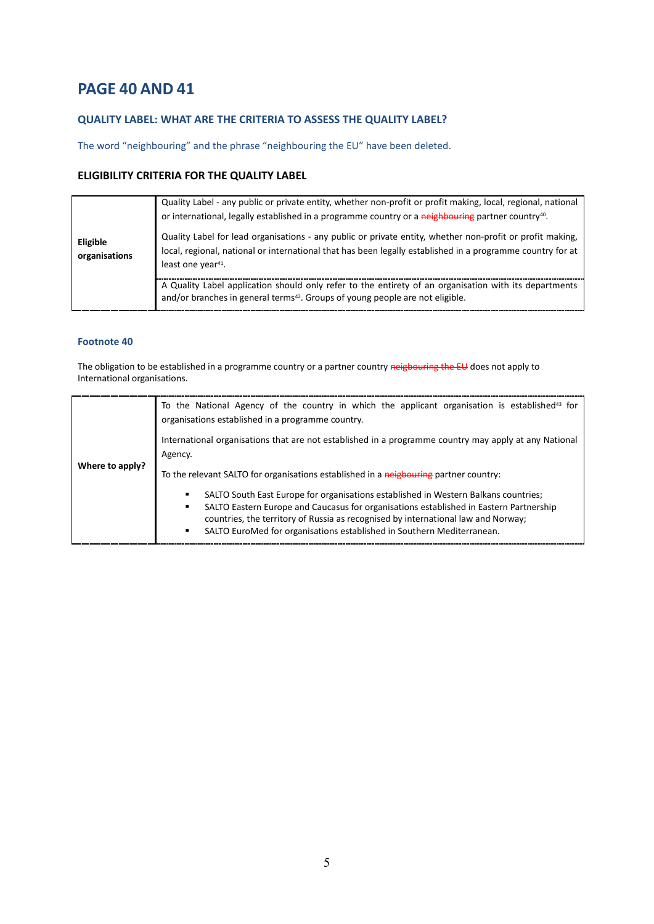## **PAGE 40 AND 41**

## **QUALITY LABEL: WHAT ARE THE CRITERIA TO ASSESS THE QUALITY LABEL?**

The word "neighbouring" and the phrase "neighbouring the EU" have been deleted.

## **ELIGIBILITY CRITERIA FOR THE QUALITY LABEL**

| Eligible<br>organisations | Quality Label - any public or private entity, whether non-profit or profit making, local, regional, national<br>or international, legally established in a programme country or a neighbouring partner country <sup>40</sup> .<br>Quality Label for lead organisations - any public or private entity, whether non-profit or profit making,<br>local, regional, national or international that has been legally established in a programme country for at<br>least one year <sup>41</sup> . |
|---------------------------|---------------------------------------------------------------------------------------------------------------------------------------------------------------------------------------------------------------------------------------------------------------------------------------------------------------------------------------------------------------------------------------------------------------------------------------------------------------------------------------------|
|                           | A Quality Label application should only refer to the entirety of an organisation with its departments<br>and/or branches in general terms <sup>42</sup> . Groups of young people are not eligible.                                                                                                                                                                                                                                                                                          |

#### **Footnote 40**

The obligation to be established in a programme country or a partner country neigbouring the EU does not apply to International organisations.

| Where to apply? | To the National Agency of the country in which the applicant organisation is established <sup>43</sup> for<br>organisations established in a programme country.                                                                                                                                                                                                                                                                                      |
|-----------------|------------------------------------------------------------------------------------------------------------------------------------------------------------------------------------------------------------------------------------------------------------------------------------------------------------------------------------------------------------------------------------------------------------------------------------------------------|
|                 | International organisations that are not established in a programme country may apply at any National<br>Agency.                                                                                                                                                                                                                                                                                                                                     |
|                 | To the relevant SALTO for organisations established in a neigbouring partner country:<br>SALTO South East Europe for organisations established in Western Balkans countries;<br>٠<br>SALTO Eastern Europe and Caucasus for organisations established in Eastern Partnership<br>٠<br>countries, the territory of Russia as recognised by international law and Norway;<br>SALTO EuroMed for organisations established in Southern Mediterranean.<br>٠ |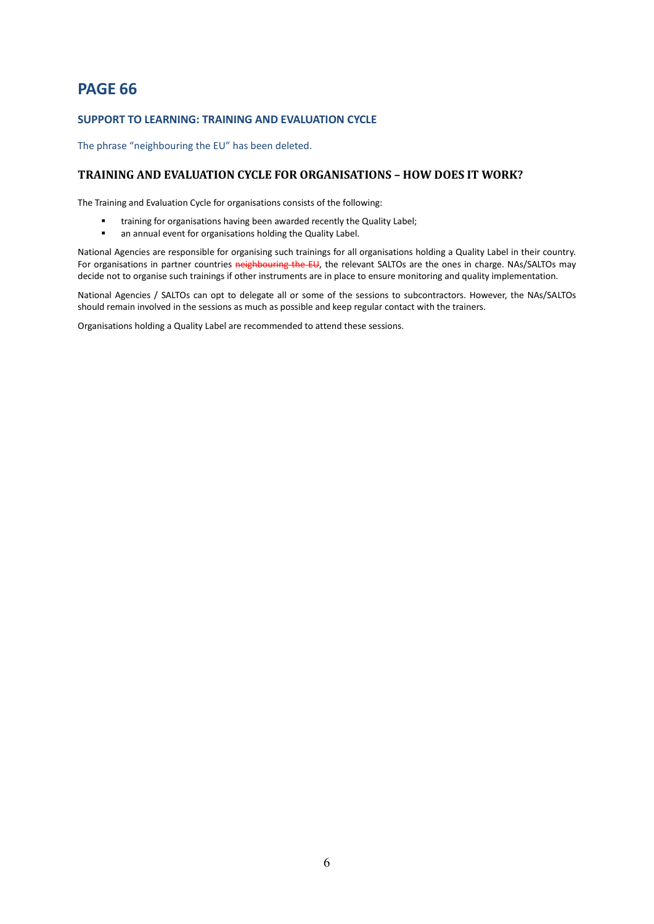## **PAGE 66**

#### **SUPPORT TO LEARNING: TRAINING AND EVALUATION CYCLE**

The phrase "neighbouring the EU" has been deleted.

#### **TRAINING AND EVALUATION CYCLE FOR ORGANISATIONS – HOW DOES IT WORK?**

The Training and Evaluation Cycle for organisations consists of the following:

- training for organisations having been awarded recently the Quality Label;
- an annual event for organisations holding the Quality Label.

National Agencies are responsible for organising such trainings for all organisations holding a Quality Label in their country. For organisations in partner countries neighbouring the EU, the relevant SALTOs are the ones in charge. NAs/SALTOs may decide not to organise such trainings if other instruments are in place to ensure monitoring and quality implementation.

National Agencies / SALTOs can opt to delegate all or some of the sessions to subcontractors. However, the NAs/SALTOs should remain involved in the sessions as much as possible and keep regular contact with the trainers.

Organisations holding a Quality Label are recommended to attend these sessions.